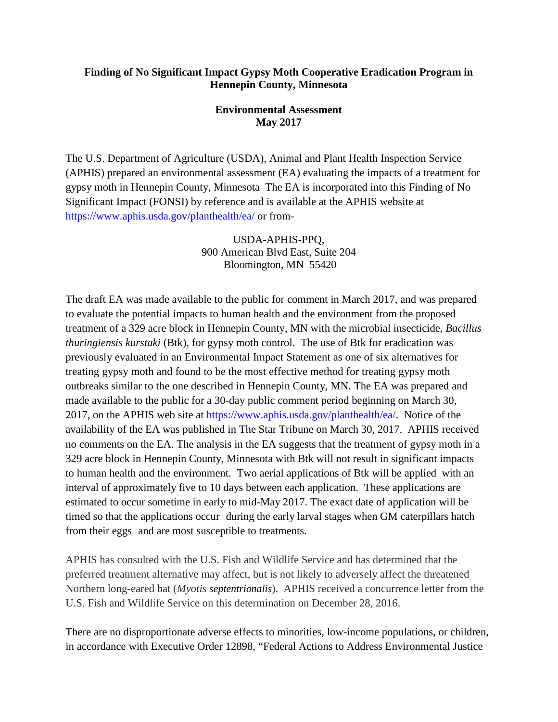## **Finding of No Significant Impact Gypsy Moth Cooperative Eradication Program in Hennepin County, Minnesota**

## **Environmental Assessment May 2017**

The U.S. Department of Agriculture (USDA), Animal and Plant Health Inspection Service (APHIS) prepared an environmental assessment (EA) evaluating the impacts of a treatment for gypsy moth in Hennepin County, Minnesota The EA is incorporated into this Finding of No Significant Impact (FONSI) by reference and is available at the APHIS website at https://www.aphis.usda.gov/planthealth/ea/ or from-

> USDA-APHIS-PPQ, 900 American Blvd East, Suite 204 Bloomington, MN 55420

The draft EA was made available to the public for comment in March 2017, and was prepared to evaluate the potential impacts to human health and the environment from the proposed treatment of a 329 acre block in Hennepin County, MN with the microbial insecticide, *Bacillus thuringiensis kurstaki* (Btk), for gypsy moth control. The use of Btk for eradication was previously evaluated in an Environmental Impact Statement as one of six alternatives for treating gypsy moth and found to be the most effective method for treating gypsy moth outbreaks similar to the one described in Hennepin County, MN. The EA was prepared and made available to the public for a 30-day public comment period beginning on March 30, 2017, on the APHIS web site at https://www.aphis.usda.gov/planthealth/ea/. Notice of the availability of the EA was published in The Star Tribune on March 30, 2017. APHIS received no comments on the EA. The analysis in the EA suggests that the treatment of gypsy moth in a 329 acre block in Hennepin County, Minnesota with Btk will not result in significant impacts to human health and the environment. Two aerial applications of Btk will be applied with an interval of approximately five to 10 days between each application. These applications are estimated to occur sometime in early to mid-May 2017. The exact date of application will be timed so that the applications occur during the early larval stages when GM caterpillars hatch from their eggs and are most susceptible to treatments.

APHIS has consulted with the U.S. Fish and Wildlife Service and has determined that the preferred treatment alternative may affect, but is not likely to adversely affect the threatened Northern long-eared bat (*Myotis septentrionalis*). APHIS received a concurrence letter from the U.S. Fish and Wildlife Service on this determination on December 28, 2016.

There are no disproportionate adverse effects to minorities, low-income populations, or children, in accordance with Executive Order 12898, "Federal Actions to Address Environmental Justice